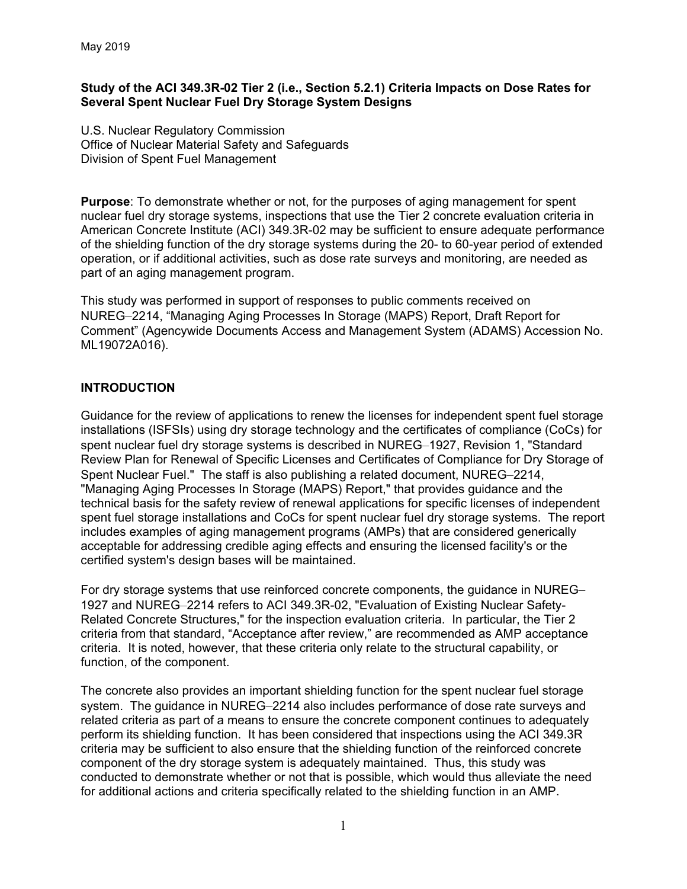### **Study of the ACI 349.3R-02 Tier 2 (i.e., Section 5.2.1) Criteria Impacts on Dose Rates for Several Spent Nuclear Fuel Dry Storage System Designs**

U.S. Nuclear Regulatory Commission Office of Nuclear Material Safety and Safeguards Division of Spent Fuel Management

**Purpose**: To demonstrate whether or not, for the purposes of aging management for spent nuclear fuel dry storage systems, inspections that use the Tier 2 concrete evaluation criteria in American Concrete Institute (ACI) 349.3R-02 may be sufficient to ensure adequate performance of the shielding function of the dry storage systems during the 20- to 60-year period of extended operation, or if additional activities, such as dose rate surveys and monitoring, are needed as part of an aging management program.

This study was performed in support of responses to public comments received on NUREG–2214, "Managing Aging Processes In Storage (MAPS) Report, Draft Report for Comment" (Agencywide Documents Access and Management System (ADAMS) Accession No. ML19072A016).

# **INTRODUCTION**

Guidance for the review of applications to renew the licenses for independent spent fuel storage installations (ISFSIs) using dry storage technology and the certificates of compliance (CoCs) for spent nuclear fuel dry storage systems is described in NUREG–1927, Revision 1, "Standard Review Plan for Renewal of Specific Licenses and Certificates of Compliance for Dry Storage of Spent Nuclear Fuel." The staff is also publishing a related document, NUREG–2214, "Managing Aging Processes In Storage (MAPS) Report," that provides guidance and the technical basis for the safety review of renewal applications for specific licenses of independent spent fuel storage installations and CoCs for spent nuclear fuel dry storage systems. The report includes examples of aging management programs (AMPs) that are considered generically acceptable for addressing credible aging effects and ensuring the licensed facility's or the certified system's design bases will be maintained.

For dry storage systems that use reinforced concrete components, the guidance in NUREG– 1927 and NUREG–2214 refers to ACI 349.3R-02, "Evaluation of Existing Nuclear Safety-Related Concrete Structures," for the inspection evaluation criteria. In particular, the Tier 2 criteria from that standard, "Acceptance after review," are recommended as AMP acceptance criteria. It is noted, however, that these criteria only relate to the structural capability, or function, of the component.

The concrete also provides an important shielding function for the spent nuclear fuel storage system. The guidance in NUREG–2214 also includes performance of dose rate surveys and related criteria as part of a means to ensure the concrete component continues to adequately perform its shielding function. It has been considered that inspections using the ACI 349.3R criteria may be sufficient to also ensure that the shielding function of the reinforced concrete component of the dry storage system is adequately maintained. Thus, this study was conducted to demonstrate whether or not that is possible, which would thus alleviate the need for additional actions and criteria specifically related to the shielding function in an AMP.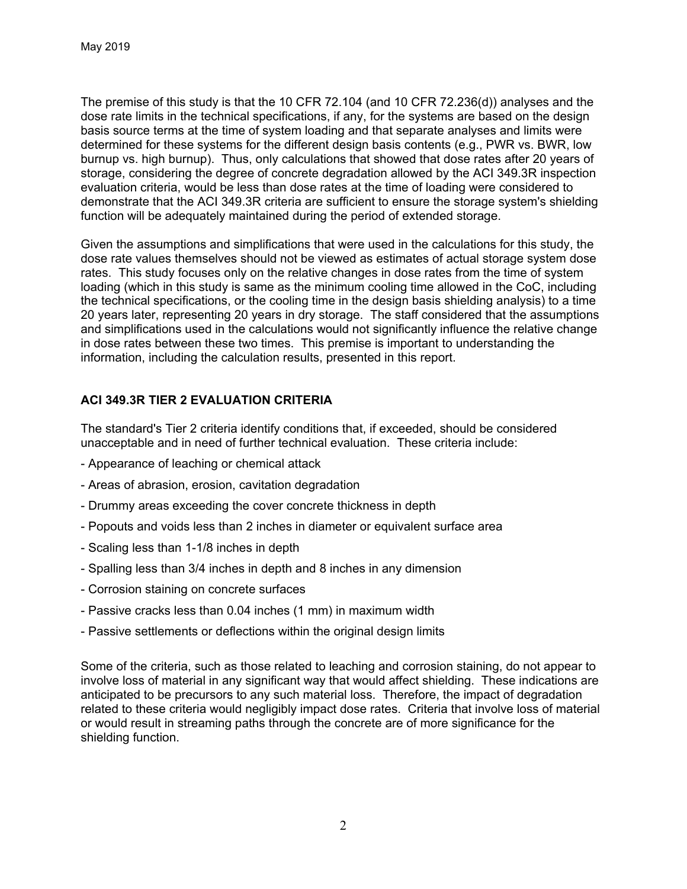The premise of this study is that the 10 CFR 72.104 (and 10 CFR 72.236(d)) analyses and the dose rate limits in the technical specifications, if any, for the systems are based on the design basis source terms at the time of system loading and that separate analyses and limits were determined for these systems for the different design basis contents (e.g., PWR vs. BWR, low burnup vs. high burnup). Thus, only calculations that showed that dose rates after 20 years of storage, considering the degree of concrete degradation allowed by the ACI 349.3R inspection evaluation criteria, would be less than dose rates at the time of loading were considered to demonstrate that the ACI 349.3R criteria are sufficient to ensure the storage system's shielding function will be adequately maintained during the period of extended storage.

Given the assumptions and simplifications that were used in the calculations for this study, the dose rate values themselves should not be viewed as estimates of actual storage system dose rates. This study focuses only on the relative changes in dose rates from the time of system loading (which in this study is same as the minimum cooling time allowed in the CoC, including the technical specifications, or the cooling time in the design basis shielding analysis) to a time 20 years later, representing 20 years in dry storage. The staff considered that the assumptions and simplifications used in the calculations would not significantly influence the relative change in dose rates between these two times. This premise is important to understanding the information, including the calculation results, presented in this report.

# **ACI 349.3R TIER 2 EVALUATION CRITERIA**

The standard's Tier 2 criteria identify conditions that, if exceeded, should be considered unacceptable and in need of further technical evaluation. These criteria include:

- Appearance of leaching or chemical attack
- Areas of abrasion, erosion, cavitation degradation
- Drummy areas exceeding the cover concrete thickness in depth
- Popouts and voids less than 2 inches in diameter or equivalent surface area
- Scaling less than 1-1/8 inches in depth
- Spalling less than 3/4 inches in depth and 8 inches in any dimension
- Corrosion staining on concrete surfaces
- Passive cracks less than 0.04 inches (1 mm) in maximum width
- Passive settlements or deflections within the original design limits

Some of the criteria, such as those related to leaching and corrosion staining, do not appear to involve loss of material in any significant way that would affect shielding. These indications are anticipated to be precursors to any such material loss. Therefore, the impact of degradation related to these criteria would negligibly impact dose rates. Criteria that involve loss of material or would result in streaming paths through the concrete are of more significance for the shielding function.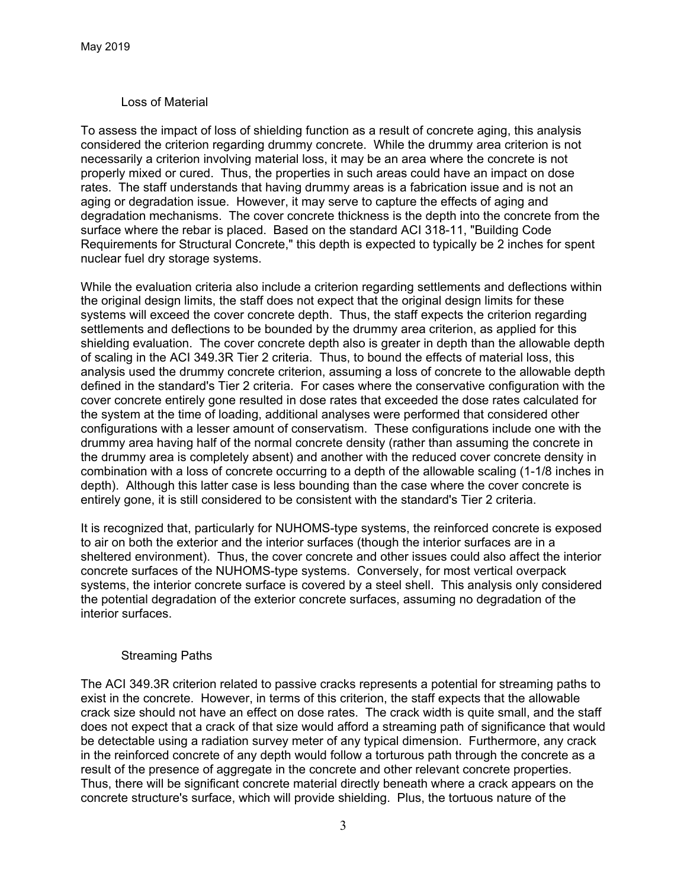### Loss of Material

To assess the impact of loss of shielding function as a result of concrete aging, this analysis considered the criterion regarding drummy concrete. While the drummy area criterion is not necessarily a criterion involving material loss, it may be an area where the concrete is not properly mixed or cured. Thus, the properties in such areas could have an impact on dose rates. The staff understands that having drummy areas is a fabrication issue and is not an aging or degradation issue. However, it may serve to capture the effects of aging and degradation mechanisms. The cover concrete thickness is the depth into the concrete from the surface where the rebar is placed. Based on the standard ACI 318-11, "Building Code Requirements for Structural Concrete," this depth is expected to typically be 2 inches for spent nuclear fuel dry storage systems.

While the evaluation criteria also include a criterion regarding settlements and deflections within the original design limits, the staff does not expect that the original design limits for these systems will exceed the cover concrete depth. Thus, the staff expects the criterion regarding settlements and deflections to be bounded by the drummy area criterion, as applied for this shielding evaluation. The cover concrete depth also is greater in depth than the allowable depth of scaling in the ACI 349.3R Tier 2 criteria. Thus, to bound the effects of material loss, this analysis used the drummy concrete criterion, assuming a loss of concrete to the allowable depth defined in the standard's Tier 2 criteria. For cases where the conservative configuration with the cover concrete entirely gone resulted in dose rates that exceeded the dose rates calculated for the system at the time of loading, additional analyses were performed that considered other configurations with a lesser amount of conservatism. These configurations include one with the drummy area having half of the normal concrete density (rather than assuming the concrete in the drummy area is completely absent) and another with the reduced cover concrete density in combination with a loss of concrete occurring to a depth of the allowable scaling (1-1/8 inches in depth). Although this latter case is less bounding than the case where the cover concrete is entirely gone, it is still considered to be consistent with the standard's Tier 2 criteria.

It is recognized that, particularly for NUHOMS-type systems, the reinforced concrete is exposed to air on both the exterior and the interior surfaces (though the interior surfaces are in a sheltered environment). Thus, the cover concrete and other issues could also affect the interior concrete surfaces of the NUHOMS-type systems. Conversely, for most vertical overpack systems, the interior concrete surface is covered by a steel shell. This analysis only considered the potential degradation of the exterior concrete surfaces, assuming no degradation of the interior surfaces.

### Streaming Paths

The ACI 349.3R criterion related to passive cracks represents a potential for streaming paths to exist in the concrete. However, in terms of this criterion, the staff expects that the allowable crack size should not have an effect on dose rates. The crack width is quite small, and the staff does not expect that a crack of that size would afford a streaming path of significance that would be detectable using a radiation survey meter of any typical dimension. Furthermore, any crack in the reinforced concrete of any depth would follow a torturous path through the concrete as a result of the presence of aggregate in the concrete and other relevant concrete properties. Thus, there will be significant concrete material directly beneath where a crack appears on the concrete structure's surface, which will provide shielding. Plus, the tortuous nature of the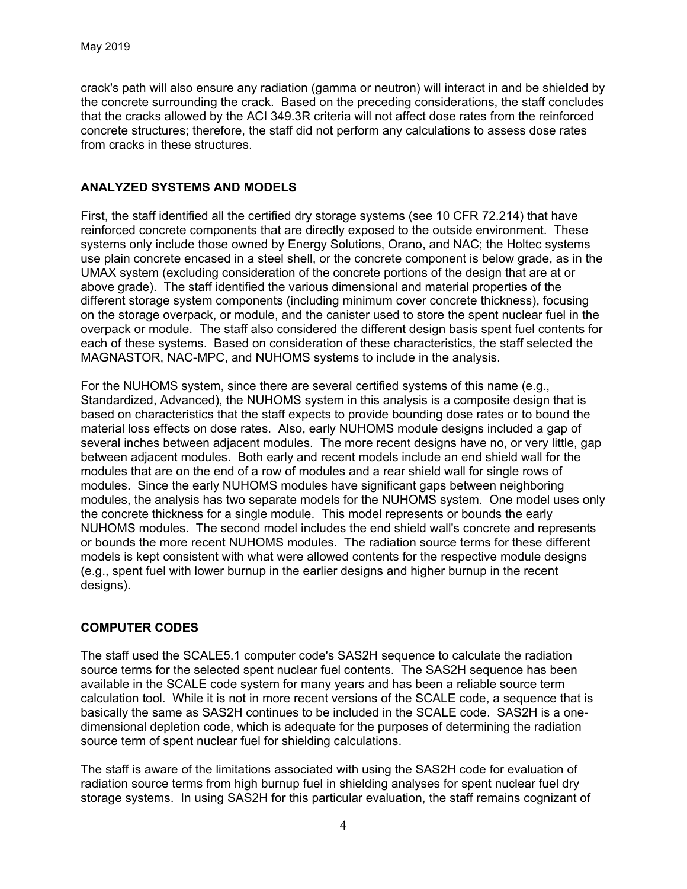crack's path will also ensure any radiation (gamma or neutron) will interact in and be shielded by the concrete surrounding the crack. Based on the preceding considerations, the staff concludes that the cracks allowed by the ACI 349.3R criteria will not affect dose rates from the reinforced concrete structures; therefore, the staff did not perform any calculations to assess dose rates from cracks in these structures.

## **ANALYZED SYSTEMS AND MODELS**

First, the staff identified all the certified dry storage systems (see 10 CFR 72.214) that have reinforced concrete components that are directly exposed to the outside environment. These systems only include those owned by Energy Solutions, Orano, and NAC; the Holtec systems use plain concrete encased in a steel shell, or the concrete component is below grade, as in the UMAX system (excluding consideration of the concrete portions of the design that are at or above grade). The staff identified the various dimensional and material properties of the different storage system components (including minimum cover concrete thickness), focusing on the storage overpack, or module, and the canister used to store the spent nuclear fuel in the overpack or module. The staff also considered the different design basis spent fuel contents for each of these systems. Based on consideration of these characteristics, the staff selected the MAGNASTOR, NAC-MPC, and NUHOMS systems to include in the analysis.

For the NUHOMS system, since there are several certified systems of this name (e.g., Standardized, Advanced), the NUHOMS system in this analysis is a composite design that is based on characteristics that the staff expects to provide bounding dose rates or to bound the material loss effects on dose rates. Also, early NUHOMS module designs included a gap of several inches between adjacent modules. The more recent designs have no, or very little, gap between adjacent modules. Both early and recent models include an end shield wall for the modules that are on the end of a row of modules and a rear shield wall for single rows of modules. Since the early NUHOMS modules have significant gaps between neighboring modules, the analysis has two separate models for the NUHOMS system. One model uses only the concrete thickness for a single module. This model represents or bounds the early NUHOMS modules. The second model includes the end shield wall's concrete and represents or bounds the more recent NUHOMS modules. The radiation source terms for these different models is kept consistent with what were allowed contents for the respective module designs (e.g., spent fuel with lower burnup in the earlier designs and higher burnup in the recent designs).

### **COMPUTER CODES**

The staff used the SCALE5.1 computer code's SAS2H sequence to calculate the radiation source terms for the selected spent nuclear fuel contents. The SAS2H sequence has been available in the SCALE code system for many years and has been a reliable source term calculation tool. While it is not in more recent versions of the SCALE code, a sequence that is basically the same as SAS2H continues to be included in the SCALE code. SAS2H is a onedimensional depletion code, which is adequate for the purposes of determining the radiation source term of spent nuclear fuel for shielding calculations.

The staff is aware of the limitations associated with using the SAS2H code for evaluation of radiation source terms from high burnup fuel in shielding analyses for spent nuclear fuel dry storage systems. In using SAS2H for this particular evaluation, the staff remains cognizant of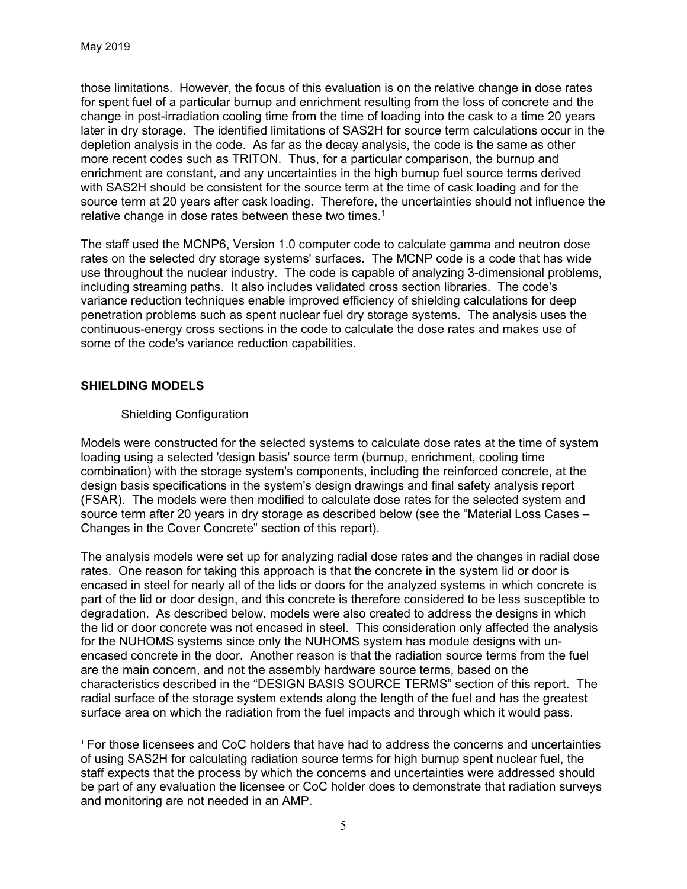those limitations. However, the focus of this evaluation is on the relative change in dose rates for spent fuel of a particular burnup and enrichment resulting from the loss of concrete and the change in post-irradiation cooling time from the time of loading into the cask to a time 20 years later in dry storage. The identified limitations of SAS2H for source term calculations occur in the depletion analysis in the code. As far as the decay analysis, the code is the same as other more recent codes such as TRITON. Thus, for a particular comparison, the burnup and enrichment are constant, and any uncertainties in the high burnup fuel source terms derived with SAS2H should be consistent for the source term at the time of cask loading and for the source term at 20 years after cask loading. Therefore, the uncertainties should not influence the relative change in dose rates between these two times.<sup>1</sup>

The staff used the MCNP6, Version 1.0 computer code to calculate gamma and neutron dose rates on the selected dry storage systems' surfaces. The MCNP code is a code that has wide use throughout the nuclear industry. The code is capable of analyzing 3-dimensional problems, including streaming paths. It also includes validated cross section libraries. The code's variance reduction techniques enable improved efficiency of shielding calculations for deep penetration problems such as spent nuclear fuel dry storage systems. The analysis uses the continuous-energy cross sections in the code to calculate the dose rates and makes use of some of the code's variance reduction capabilities.

### **SHIELDING MODELS**

 $\overline{a}$ 

# Shielding Configuration

Models were constructed for the selected systems to calculate dose rates at the time of system loading using a selected 'design basis' source term (burnup, enrichment, cooling time combination) with the storage system's components, including the reinforced concrete, at the design basis specifications in the system's design drawings and final safety analysis report (FSAR). The models were then modified to calculate dose rates for the selected system and source term after 20 years in dry storage as described below (see the "Material Loss Cases – Changes in the Cover Concrete" section of this report).

The analysis models were set up for analyzing radial dose rates and the changes in radial dose rates. One reason for taking this approach is that the concrete in the system lid or door is encased in steel for nearly all of the lids or doors for the analyzed systems in which concrete is part of the lid or door design, and this concrete is therefore considered to be less susceptible to degradation. As described below, models were also created to address the designs in which the lid or door concrete was not encased in steel. This consideration only affected the analysis for the NUHOMS systems since only the NUHOMS system has module designs with unencased concrete in the door. Another reason is that the radiation source terms from the fuel are the main concern, and not the assembly hardware source terms, based on the characteristics described in the "DESIGN BASIS SOURCE TERMS" section of this report. The radial surface of the storage system extends along the length of the fuel and has the greatest surface area on which the radiation from the fuel impacts and through which it would pass.

 $1$  For those licensees and CoC holders that have had to address the concerns and uncertainties of using SAS2H for calculating radiation source terms for high burnup spent nuclear fuel, the staff expects that the process by which the concerns and uncertainties were addressed should be part of any evaluation the licensee or CoC holder does to demonstrate that radiation surveys and monitoring are not needed in an AMP.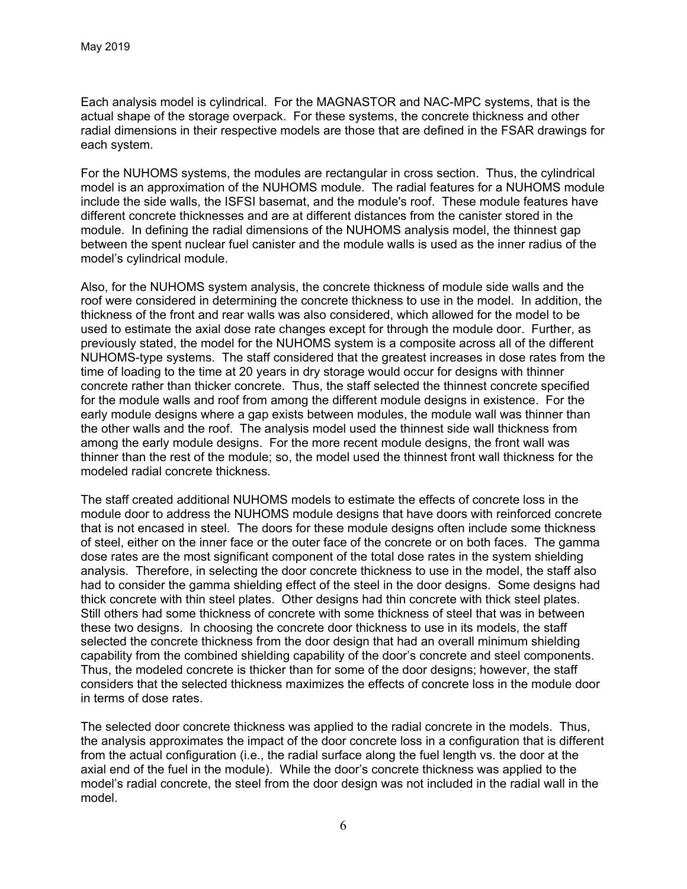Each analysis model is cylindrical. For the MAGNASTOR and NAC-MPC systems, that is the actual shape of the storage overpack. For these systems, the concrete thickness and other radial dimensions in their respective models are those that are defined in the FSAR drawings for each system.

For the NUHOMS systems, the modules are rectangular in cross section. Thus, the cylindrical model is an approximation of the NUHOMS module. The radial features for a NUHOMS module include the side walls, the ISFSI basemat, and the module's roof. These module features have different concrete thicknesses and are at different distances from the canister stored in the module. In defining the radial dimensions of the NUHOMS analysis model, the thinnest gap between the spent nuclear fuel canister and the module walls is used as the inner radius of the model's cylindrical module.

Also, for the NUHOMS system analysis, the concrete thickness of module side walls and the roof were considered in determining the concrete thickness to use in the model. In addition, the thickness of the front and rear walls was also considered, which allowed for the model to be used to estimate the axial dose rate changes except for through the module door. Further, as previously stated, the model for the NUHOMS system is a composite across all of the different NUHOMS-type systems. The staff considered that the greatest increases in dose rates from the time of loading to the time at 20 years in dry storage would occur for designs with thinner concrete rather than thicker concrete. Thus, the staff selected the thinnest concrete specified for the module walls and roof from among the different module designs in existence. For the early module designs where a gap exists between modules, the module wall was thinner than the other walls and the roof. The analysis model used the thinnest side wall thickness from among the early module designs. For the more recent module designs, the front wall was thinner than the rest of the module; so, the model used the thinnest front wall thickness for the modeled radial concrete thickness.

The staff created additional NUHOMS models to estimate the effects of concrete loss in the module door to address the NUHOMS module designs that have doors with reinforced concrete that is not encased in steel. The doors for these module designs often include some thickness of steel, either on the inner face or the outer face of the concrete or on both faces. The gamma dose rates are the most significant component of the total dose rates in the system shielding analysis. Therefore, in selecting the door concrete thickness to use in the model, the staff also had to consider the gamma shielding effect of the steel in the door designs. Some designs had thick concrete with thin steel plates. Other designs had thin concrete with thick steel plates. Still others had some thickness of concrete with some thickness of steel that was in between these two designs. In choosing the concrete door thickness to use in its models, the staff selected the concrete thickness from the door design that had an overall minimum shielding capability from the combined shielding capability of the door's concrete and steel components. Thus, the modeled concrete is thicker than for some of the door designs; however, the staff considers that the selected thickness maximizes the effects of concrete loss in the module door in terms of dose rates.

The selected door concrete thickness was applied to the radial concrete in the models. Thus, the analysis approximates the impact of the door concrete loss in a configuration that is different from the actual configuration (i.e., the radial surface along the fuel length vs. the door at the axial end of the fuel in the module). While the door's concrete thickness was applied to the model's radial concrete, the steel from the door design was not included in the radial wall in the model.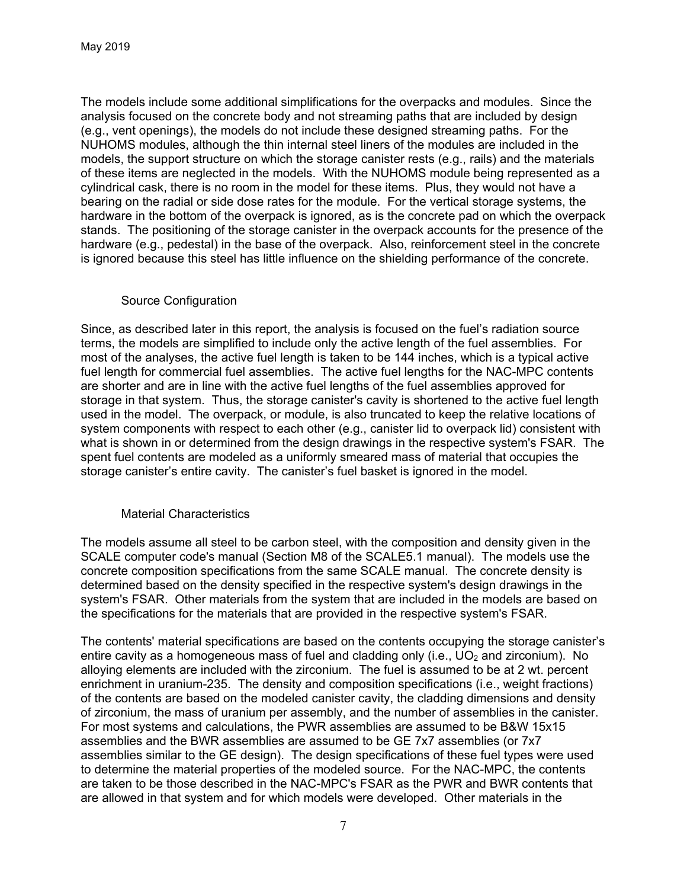The models include some additional simplifications for the overpacks and modules. Since the analysis focused on the concrete body and not streaming paths that are included by design (e.g., vent openings), the models do not include these designed streaming paths. For the NUHOMS modules, although the thin internal steel liners of the modules are included in the models, the support structure on which the storage canister rests (e.g., rails) and the materials of these items are neglected in the models. With the NUHOMS module being represented as a cylindrical cask, there is no room in the model for these items. Plus, they would not have a bearing on the radial or side dose rates for the module. For the vertical storage systems, the hardware in the bottom of the overpack is ignored, as is the concrete pad on which the overpack stands. The positioning of the storage canister in the overpack accounts for the presence of the hardware (e.g., pedestal) in the base of the overpack. Also, reinforcement steel in the concrete is ignored because this steel has little influence on the shielding performance of the concrete.

### Source Configuration

Since, as described later in this report, the analysis is focused on the fuel's radiation source terms, the models are simplified to include only the active length of the fuel assemblies. For most of the analyses, the active fuel length is taken to be 144 inches, which is a typical active fuel length for commercial fuel assemblies. The active fuel lengths for the NAC-MPC contents are shorter and are in line with the active fuel lengths of the fuel assemblies approved for storage in that system. Thus, the storage canister's cavity is shortened to the active fuel length used in the model. The overpack, or module, is also truncated to keep the relative locations of system components with respect to each other (e.g., canister lid to overpack lid) consistent with what is shown in or determined from the design drawings in the respective system's FSAR. The spent fuel contents are modeled as a uniformly smeared mass of material that occupies the storage canister's entire cavity. The canister's fuel basket is ignored in the model.

### Material Characteristics

The models assume all steel to be carbon steel, with the composition and density given in the SCALE computer code's manual (Section M8 of the SCALE5.1 manual). The models use the concrete composition specifications from the same SCALE manual. The concrete density is determined based on the density specified in the respective system's design drawings in the system's FSAR. Other materials from the system that are included in the models are based on the specifications for the materials that are provided in the respective system's FSAR.

The contents' material specifications are based on the contents occupying the storage canister's entire cavity as a homogeneous mass of fuel and cladding only (i.e.,  $UO<sub>2</sub>$  and zirconium). No alloying elements are included with the zirconium. The fuel is assumed to be at 2 wt. percent enrichment in uranium-235. The density and composition specifications (i.e., weight fractions) of the contents are based on the modeled canister cavity, the cladding dimensions and density of zirconium, the mass of uranium per assembly, and the number of assemblies in the canister. For most systems and calculations, the PWR assemblies are assumed to be B&W 15x15 assemblies and the BWR assemblies are assumed to be GE 7x7 assemblies (or 7x7 assemblies similar to the GE design). The design specifications of these fuel types were used to determine the material properties of the modeled source. For the NAC-MPC, the contents are taken to be those described in the NAC-MPC's FSAR as the PWR and BWR contents that are allowed in that system and for which models were developed. Other materials in the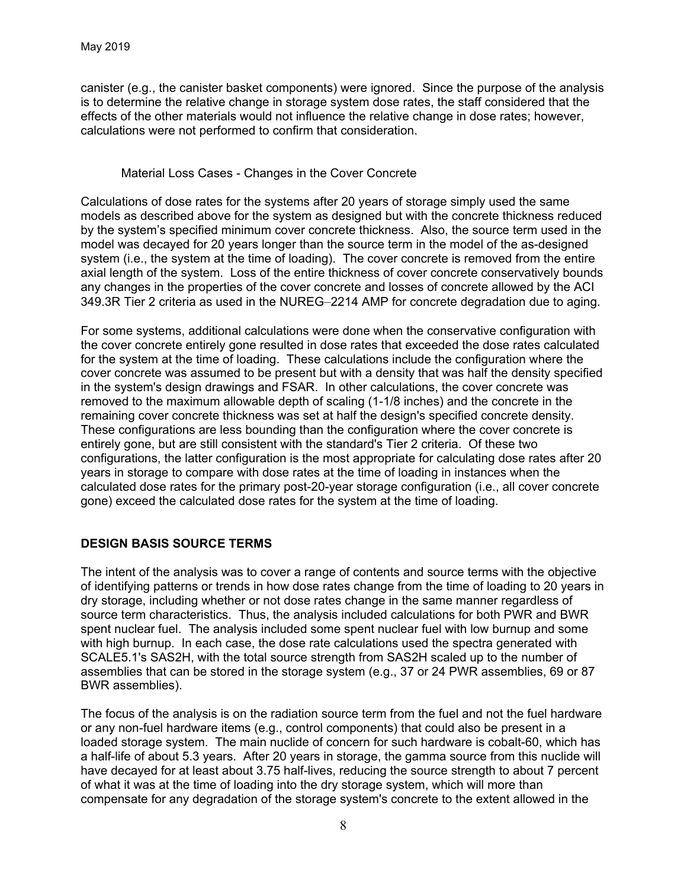canister (e.g., the canister basket components) were ignored. Since the purpose of the analysis is to determine the relative change in storage system dose rates, the staff considered that the effects of the other materials would not influence the relative change in dose rates; however, calculations were not performed to confirm that consideration.

#### Material Loss Cases - Changes in the Cover Concrete

Calculations of dose rates for the systems after 20 years of storage simply used the same models as described above for the system as designed but with the concrete thickness reduced by the system's specified minimum cover concrete thickness. Also, the source term used in the model was decayed for 20 years longer than the source term in the model of the as-designed system (i.e., the system at the time of loading). The cover concrete is removed from the entire axial length of the system. Loss of the entire thickness of cover concrete conservatively bounds any changes in the properties of the cover concrete and losses of concrete allowed by the ACI 349.3R Tier 2 criteria as used in the NUREG–2214 AMP for concrete degradation due to aging.

For some systems, additional calculations were done when the conservative configuration with the cover concrete entirely gone resulted in dose rates that exceeded the dose rates calculated for the system at the time of loading. These calculations include the configuration where the cover concrete was assumed to be present but with a density that was half the density specified in the system's design drawings and FSAR. In other calculations, the cover concrete was removed to the maximum allowable depth of scaling (1-1/8 inches) and the concrete in the remaining cover concrete thickness was set at half the design's specified concrete density. These configurations are less bounding than the configuration where the cover concrete is entirely gone, but are still consistent with the standard's Tier 2 criteria. Of these two configurations, the latter configuration is the most appropriate for calculating dose rates after 20 years in storage to compare with dose rates at the time of loading in instances when the calculated dose rates for the primary post-20-year storage configuration (i.e., all cover concrete gone) exceed the calculated dose rates for the system at the time of loading.

### **DESIGN BASIS SOURCE TERMS**

The intent of the analysis was to cover a range of contents and source terms with the objective of identifying patterns or trends in how dose rates change from the time of loading to 20 years in dry storage, including whether or not dose rates change in the same manner regardless of source term characteristics. Thus, the analysis included calculations for both PWR and BWR spent nuclear fuel. The analysis included some spent nuclear fuel with low burnup and some with high burnup. In each case, the dose rate calculations used the spectra generated with SCALE5.1's SAS2H, with the total source strength from SAS2H scaled up to the number of assemblies that can be stored in the storage system (e.g., 37 or 24 PWR assemblies, 69 or 87 BWR assemblies).

The focus of the analysis is on the radiation source term from the fuel and not the fuel hardware or any non-fuel hardware items (e.g., control components) that could also be present in a loaded storage system. The main nuclide of concern for such hardware is cobalt-60, which has a half-life of about 5.3 years. After 20 years in storage, the gamma source from this nuclide will have decayed for at least about 3.75 half-lives, reducing the source strength to about 7 percent of what it was at the time of loading into the dry storage system, which will more than compensate for any degradation of the storage system's concrete to the extent allowed in the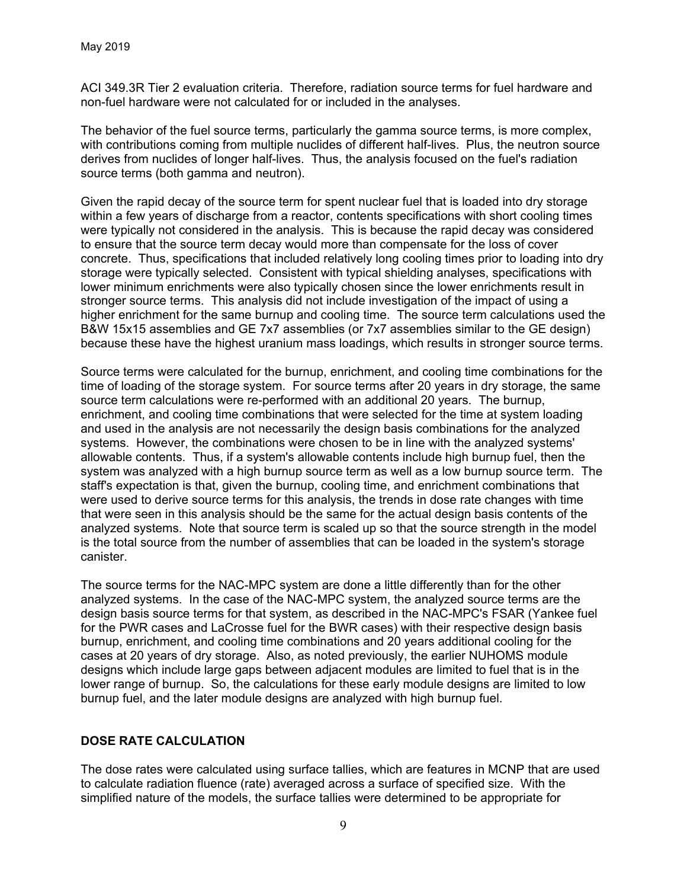ACI 349.3R Tier 2 evaluation criteria. Therefore, radiation source terms for fuel hardware and non-fuel hardware were not calculated for or included in the analyses.

The behavior of the fuel source terms, particularly the gamma source terms, is more complex, with contributions coming from multiple nuclides of different half-lives. Plus, the neutron source derives from nuclides of longer half-lives. Thus, the analysis focused on the fuel's radiation source terms (both gamma and neutron).

Given the rapid decay of the source term for spent nuclear fuel that is loaded into dry storage within a few years of discharge from a reactor, contents specifications with short cooling times were typically not considered in the analysis. This is because the rapid decay was considered to ensure that the source term decay would more than compensate for the loss of cover concrete. Thus, specifications that included relatively long cooling times prior to loading into dry storage were typically selected. Consistent with typical shielding analyses, specifications with lower minimum enrichments were also typically chosen since the lower enrichments result in stronger source terms. This analysis did not include investigation of the impact of using a higher enrichment for the same burnup and cooling time. The source term calculations used the B&W 15x15 assemblies and GE 7x7 assemblies (or 7x7 assemblies similar to the GE design) because these have the highest uranium mass loadings, which results in stronger source terms.

Source terms were calculated for the burnup, enrichment, and cooling time combinations for the time of loading of the storage system. For source terms after 20 years in dry storage, the same source term calculations were re-performed with an additional 20 years. The burnup, enrichment, and cooling time combinations that were selected for the time at system loading and used in the analysis are not necessarily the design basis combinations for the analyzed systems. However, the combinations were chosen to be in line with the analyzed systems' allowable contents. Thus, if a system's allowable contents include high burnup fuel, then the system was analyzed with a high burnup source term as well as a low burnup source term. The staff's expectation is that, given the burnup, cooling time, and enrichment combinations that were used to derive source terms for this analysis, the trends in dose rate changes with time that were seen in this analysis should be the same for the actual design basis contents of the analyzed systems. Note that source term is scaled up so that the source strength in the model is the total source from the number of assemblies that can be loaded in the system's storage canister.

The source terms for the NAC-MPC system are done a little differently than for the other analyzed systems. In the case of the NAC-MPC system, the analyzed source terms are the design basis source terms for that system, as described in the NAC-MPC's FSAR (Yankee fuel for the PWR cases and LaCrosse fuel for the BWR cases) with their respective design basis burnup, enrichment, and cooling time combinations and 20 years additional cooling for the cases at 20 years of dry storage. Also, as noted previously, the earlier NUHOMS module designs which include large gaps between adjacent modules are limited to fuel that is in the lower range of burnup. So, the calculations for these early module designs are limited to low burnup fuel, and the later module designs are analyzed with high burnup fuel.

### **DOSE RATE CALCULATION**

The dose rates were calculated using surface tallies, which are features in MCNP that are used to calculate radiation fluence (rate) averaged across a surface of specified size. With the simplified nature of the models, the surface tallies were determined to be appropriate for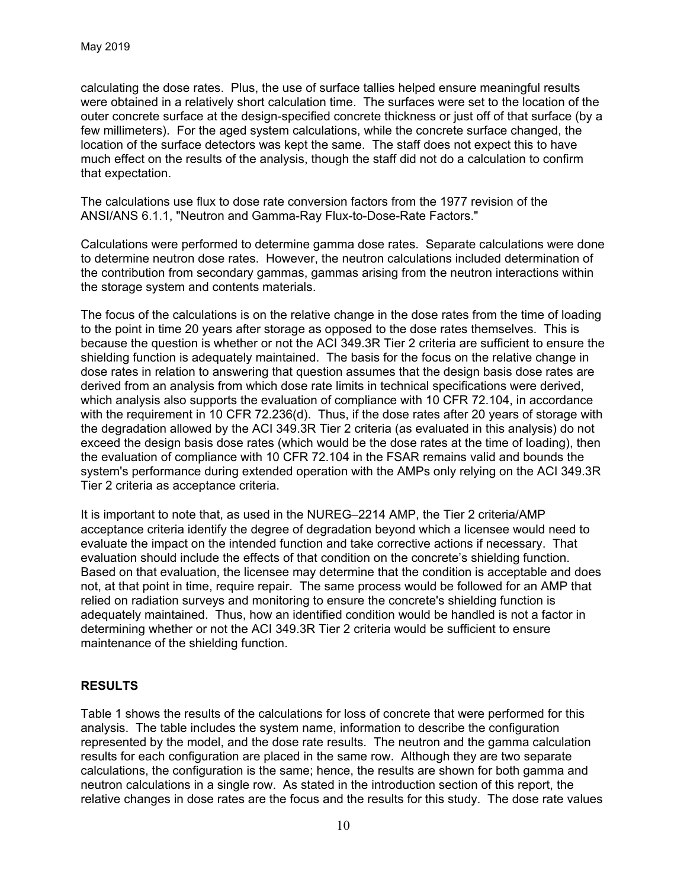calculating the dose rates. Plus, the use of surface tallies helped ensure meaningful results were obtained in a relatively short calculation time. The surfaces were set to the location of the outer concrete surface at the design-specified concrete thickness or just off of that surface (by a few millimeters). For the aged system calculations, while the concrete surface changed, the location of the surface detectors was kept the same. The staff does not expect this to have much effect on the results of the analysis, though the staff did not do a calculation to confirm that expectation.

The calculations use flux to dose rate conversion factors from the 1977 revision of the ANSI/ANS 6.1.1, "Neutron and Gamma-Ray Flux-to-Dose-Rate Factors."

Calculations were performed to determine gamma dose rates. Separate calculations were done to determine neutron dose rates. However, the neutron calculations included determination of the contribution from secondary gammas, gammas arising from the neutron interactions within the storage system and contents materials.

The focus of the calculations is on the relative change in the dose rates from the time of loading to the point in time 20 years after storage as opposed to the dose rates themselves. This is because the question is whether or not the ACI 349.3R Tier 2 criteria are sufficient to ensure the shielding function is adequately maintained. The basis for the focus on the relative change in dose rates in relation to answering that question assumes that the design basis dose rates are derived from an analysis from which dose rate limits in technical specifications were derived, which analysis also supports the evaluation of compliance with 10 CFR 72.104, in accordance with the requirement in 10 CFR 72.236(d). Thus, if the dose rates after 20 years of storage with the degradation allowed by the ACI 349.3R Tier 2 criteria (as evaluated in this analysis) do not exceed the design basis dose rates (which would be the dose rates at the time of loading), then the evaluation of compliance with 10 CFR 72.104 in the FSAR remains valid and bounds the system's performance during extended operation with the AMPs only relying on the ACI 349.3R Tier 2 criteria as acceptance criteria.

It is important to note that, as used in the NUREG–2214 AMP, the Tier 2 criteria/AMP acceptance criteria identify the degree of degradation beyond which a licensee would need to evaluate the impact on the intended function and take corrective actions if necessary. That evaluation should include the effects of that condition on the concrete's shielding function. Based on that evaluation, the licensee may determine that the condition is acceptable and does not, at that point in time, require repair. The same process would be followed for an AMP that relied on radiation surveys and monitoring to ensure the concrete's shielding function is adequately maintained. Thus, how an identified condition would be handled is not a factor in determining whether or not the ACI 349.3R Tier 2 criteria would be sufficient to ensure maintenance of the shielding function.

### **RESULTS**

Table 1 shows the results of the calculations for loss of concrete that were performed for this analysis. The table includes the system name, information to describe the configuration represented by the model, and the dose rate results. The neutron and the gamma calculation results for each configuration are placed in the same row. Although they are two separate calculations, the configuration is the same; hence, the results are shown for both gamma and neutron calculations in a single row. As stated in the introduction section of this report, the relative changes in dose rates are the focus and the results for this study. The dose rate values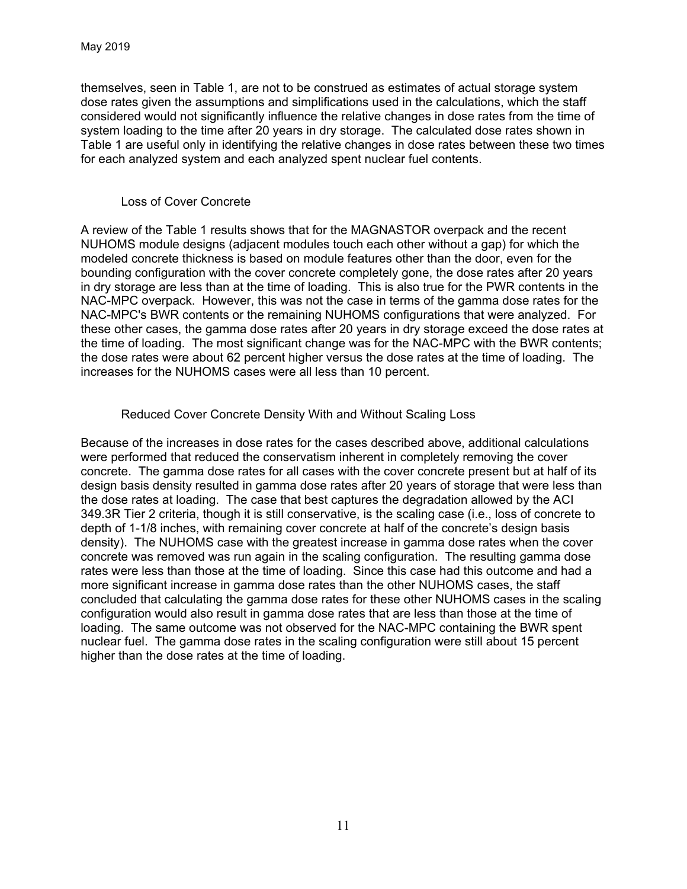themselves, seen in Table 1, are not to be construed as estimates of actual storage system dose rates given the assumptions and simplifications used in the calculations, which the staff considered would not significantly influence the relative changes in dose rates from the time of system loading to the time after 20 years in dry storage. The calculated dose rates shown in Table 1 are useful only in identifying the relative changes in dose rates between these two times for each analyzed system and each analyzed spent nuclear fuel contents.

### Loss of Cover Concrete

A review of the Table 1 results shows that for the MAGNASTOR overpack and the recent NUHOMS module designs (adjacent modules touch each other without a gap) for which the modeled concrete thickness is based on module features other than the door, even for the bounding configuration with the cover concrete completely gone, the dose rates after 20 years in dry storage are less than at the time of loading. This is also true for the PWR contents in the NAC-MPC overpack. However, this was not the case in terms of the gamma dose rates for the NAC-MPC's BWR contents or the remaining NUHOMS configurations that were analyzed. For these other cases, the gamma dose rates after 20 years in dry storage exceed the dose rates at the time of loading. The most significant change was for the NAC-MPC with the BWR contents; the dose rates were about 62 percent higher versus the dose rates at the time of loading. The increases for the NUHOMS cases were all less than 10 percent.

### Reduced Cover Concrete Density With and Without Scaling Loss

Because of the increases in dose rates for the cases described above, additional calculations were performed that reduced the conservatism inherent in completely removing the cover concrete. The gamma dose rates for all cases with the cover concrete present but at half of its design basis density resulted in gamma dose rates after 20 years of storage that were less than the dose rates at loading. The case that best captures the degradation allowed by the ACI 349.3R Tier 2 criteria, though it is still conservative, is the scaling case (i.e., loss of concrete to depth of 1-1/8 inches, with remaining cover concrete at half of the concrete's design basis density). The NUHOMS case with the greatest increase in gamma dose rates when the cover concrete was removed was run again in the scaling configuration. The resulting gamma dose rates were less than those at the time of loading. Since this case had this outcome and had a more significant increase in gamma dose rates than the other NUHOMS cases, the staff concluded that calculating the gamma dose rates for these other NUHOMS cases in the scaling configuration would also result in gamma dose rates that are less than those at the time of loading. The same outcome was not observed for the NAC-MPC containing the BWR spent nuclear fuel. The gamma dose rates in the scaling configuration were still about 15 percent higher than the dose rates at the time of loading.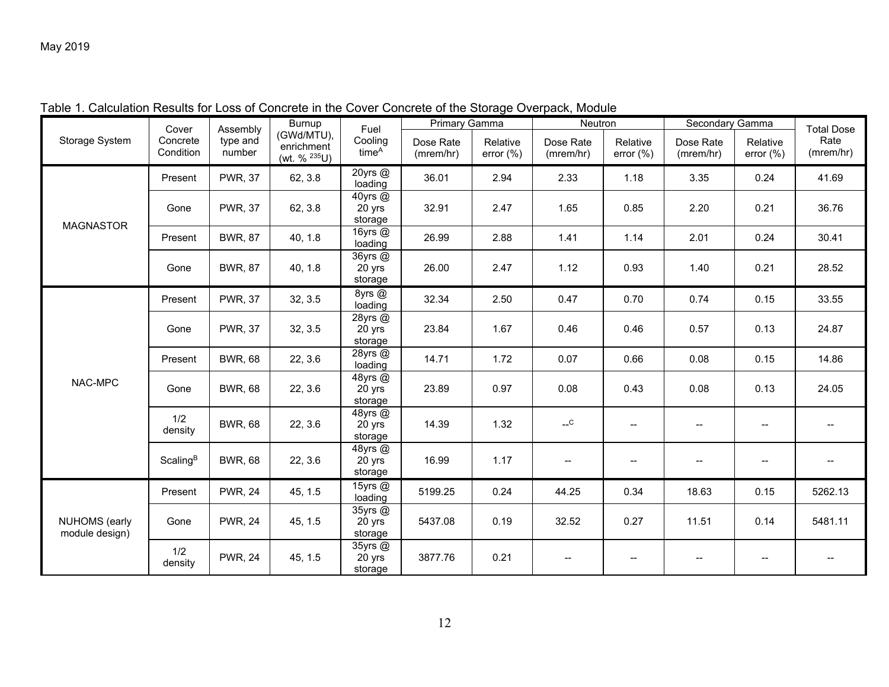| Storage System                         | Cover<br>Concrete<br>Condition | Assembly<br>type and<br>number | Burnup<br>(GWd/MTU),<br>enrichment<br>(wt. % 235U) | Fuel<br>Cooling<br>time <sup>A</sup> | Primary Gamma          |                          | Neutron                |                                     | Secondary Gamma                     |                                                   | <b>Total Dose</b> |
|----------------------------------------|--------------------------------|--------------------------------|----------------------------------------------------|--------------------------------------|------------------------|--------------------------|------------------------|-------------------------------------|-------------------------------------|---------------------------------------------------|-------------------|
|                                        |                                |                                |                                                    |                                      | Dose Rate<br>(mrem/hr) | Relative<br>error $(\%)$ | Dose Rate<br>(mrem/hr) | Relative<br>error $(\%)$            | Dose Rate<br>(mrem/hr)              | Relative<br>error $(\%)$                          | Rate<br>(mrem/hr) |
| <b>MAGNASTOR</b>                       | Present                        | <b>PWR, 37</b>                 | 62, 3.8                                            | 20yrs @<br>loading                   | 36.01                  | 2.94                     | 2.33                   | 1.18                                | 3.35                                | 0.24                                              | 41.69             |
|                                        | Gone                           | <b>PWR, 37</b>                 | 62, 3.8                                            | 40yrs @<br>20 yrs<br>storage         | 32.91                  | 2.47                     | 1.65                   | 0.85                                | 2.20                                | 0.21                                              | 36.76             |
|                                        | Present                        | <b>BWR, 87</b>                 | 40, 1.8                                            | 16yrs $@$<br>loading                 | 26.99                  | 2.88                     | 1.41                   | 1.14                                | 2.01                                | 0.24                                              | 30.41             |
|                                        | Gone                           | <b>BWR, 87</b>                 | 40, 1.8                                            | 36yrs @<br>20 yrs<br>storage         | 26.00                  | 2.47                     | 1.12                   | 0.93                                | 1.40                                | 0.21                                              | 28.52             |
| NAC-MPC                                | Present                        | <b>PWR, 37</b>                 | 32, 3.5                                            | 8yrs @<br>loading                    | 32.34                  | 2.50                     | 0.47                   | 0.70                                | 0.74                                | 0.15                                              | 33.55             |
|                                        | Gone                           | <b>PWR, 37</b>                 | 32, 3.5                                            | 28yrs $@$<br>20 yrs<br>storage       | 23.84                  | 1.67                     | 0.46                   | 0.46                                | 0.57                                | 0.13                                              | 24.87             |
|                                        | Present                        | <b>BWR, 68</b>                 | 22, 3.6                                            | 28yrs @<br>loading                   | 14.71                  | 1.72                     | 0.07                   | 0.66                                | 0.08                                | 0.15                                              | 14.86             |
|                                        | Gone                           | <b>BWR, 68</b>                 | 22, 3.6                                            | 48yrs @<br>20 yrs<br>storage         | 23.89                  | 0.97                     | 0.08                   | 0.43                                | 0.08                                | 0.13                                              | 24.05             |
|                                        | 1/2<br>density                 | <b>BWR, 68</b>                 | 22, 3.6                                            | 48yrs @<br>20 yrs<br>storage         | 14.39                  | 1.32                     | $-c$                   | $\overline{\phantom{a}}$            |                                     | $\hspace{0.05cm}$                                 |                   |
|                                        | Scaling <sup>B</sup>           | <b>BWR, 68</b>                 | 22, 3.6                                            | 48yrs @<br>20 yrs<br>storage         | 16.99                  | 1.17                     |                        | $\hspace{0.05cm}$ $\hspace{0.05cm}$ |                                     | $\hspace{0.05cm}-\hspace{0.05cm}-\hspace{0.05cm}$ |                   |
| <b>NUHOMS</b> (early<br>module design) | Present                        | <b>PWR, 24</b>                 | 45, 1.5                                            | 15yrs @<br>loading                   | 5199.25                | 0.24                     | 44.25                  | 0.34                                | 18.63                               | 0.15                                              | 5262.13           |
|                                        | Gone                           | <b>PWR, 24</b>                 | 45, 1.5                                            | 35yrs @<br>20 yrs<br>storage         | 5437.08                | 0.19                     | 32.52                  | 0.27                                | 11.51                               | 0.14                                              | 5481.11           |
|                                        | 1/2<br>density                 | <b>PWR, 24</b>                 | 45, 1.5                                            | 35yrs @<br>20 yrs<br>storage         | 3877.76                | 0.21                     | --                     | $\overline{\phantom{a}}$            | $\hspace{0.05cm}$ $\hspace{0.05cm}$ | $\overline{\phantom{a}}$                          | --                |

Table 1. Calculation Results for Loss of Concrete in the Cover Concrete of the Storage Overpack, Module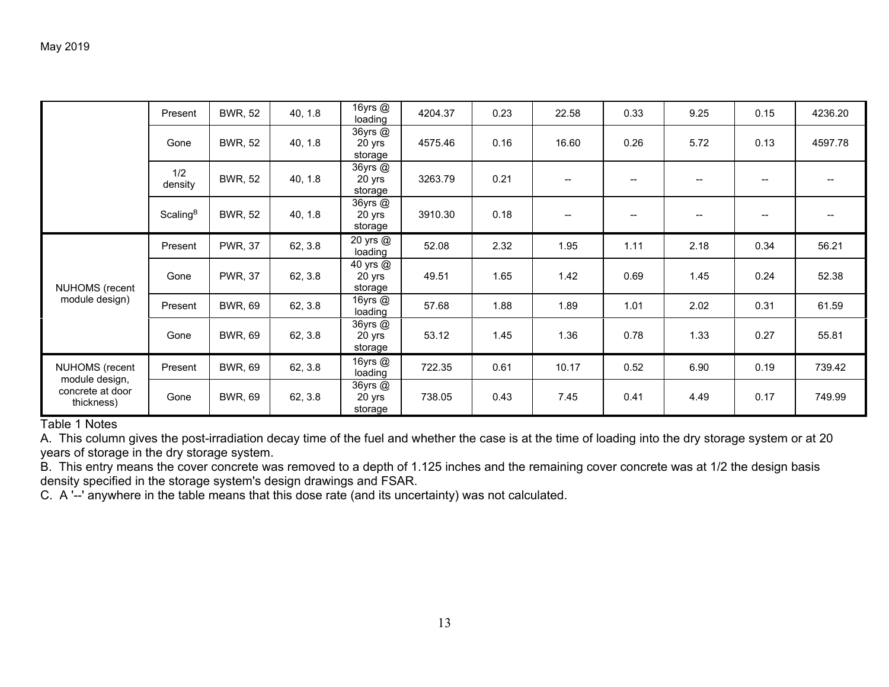|                                                                    | Present              | <b>BWR, 52</b> | 40, 1.8 | 16yrs @<br>loading                | 4204.37 | 0.23 | 22.58                    | 0.33              | 9.25                   | 0.15              | 4236.20 |
|--------------------------------------------------------------------|----------------------|----------------|---------|-----------------------------------|---------|------|--------------------------|-------------------|------------------------|-------------------|---------|
|                                                                    | Gone                 | <b>BWR, 52</b> | 40, 1.8 | 36yrs @<br>20 yrs<br>storage      | 4575.46 | 0.16 | 16.60                    | 0.26              | 5.72                   | 0.13              | 4597.78 |
|                                                                    | 1/2<br>density       | <b>BWR, 52</b> | 40, 1.8 | $36$ yrs $@$<br>20 yrs<br>storage | 3263.79 | 0.21 |                          |                   |                        |                   |         |
|                                                                    | Scaling <sup>B</sup> | <b>BWR, 52</b> | 40, 1.8 | 36yrs @<br>20 yrs<br>storage      | 3910.30 | 0.18 | $\overline{\phantom{a}}$ | $\hspace{0.05cm}$ | $\qquad \qquad \cdots$ | $\hspace{0.05cm}$ |         |
| NUHOMS (recent<br>module design)                                   | Present              | <b>PWR, 37</b> | 62, 3.8 | 20 yrs @<br>loading               | 52.08   | 2.32 | 1.95                     | 1.11              | 2.18                   | 0.34              | 56.21   |
|                                                                    | Gone                 | <b>PWR, 37</b> | 62, 3.8 | 40 yrs @<br>20 yrs<br>storage     | 49.51   | 1.65 | 1.42                     | 0.69              | 1.45                   | 0.24              | 52.38   |
|                                                                    | Present              | <b>BWR, 69</b> | 62, 3.8 | 16yrs @<br>loading                | 57.68   | 1.88 | 1.89                     | 1.01              | 2.02                   | 0.31              | 61.59   |
|                                                                    | Gone                 | <b>BWR, 69</b> | 62, 3.8 | 36yrs @<br>20 yrs<br>storage      | 53.12   | 1.45 | 1.36                     | 0.78              | 1.33                   | 0.27              | 55.81   |
| NUHOMS (recent<br>module design,<br>concrete at door<br>thickness) | Present              | <b>BWR, 69</b> | 62, 3.8 | 16yrs $@$<br>loading              | 722.35  | 0.61 | 10.17                    | 0.52              | 6.90                   | 0.19              | 739.42  |
|                                                                    | Gone                 | <b>BWR, 69</b> | 62, 3.8 | 36yrs @<br>20 yrs<br>storage      | 738.05  | 0.43 | 7.45                     | 0.41              | 4.49                   | 0.17              | 749.99  |

Table 1 Notes

A. This column gives the post-irradiation decay time of the fuel and whether the case is at the time of loading into the dry storage system or at 20 years of storage in the dry storage system.

B. This entry means the cover concrete was removed to a depth of 1.125 inches and the remaining cover concrete was at 1/2 the design basis density specified in the storage system's design drawings and FSAR.

C. A '--' anywhere in the table means that this dose rate (and its uncertainty) was not calculated.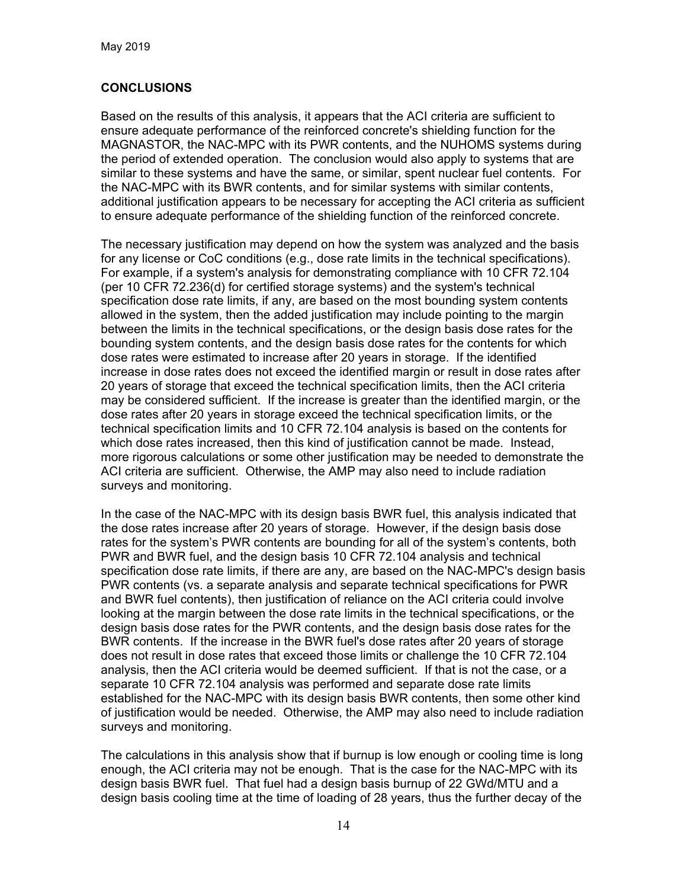# **CONCLUSIONS**

Based on the results of this analysis, it appears that the ACI criteria are sufficient to ensure adequate performance of the reinforced concrete's shielding function for the MAGNASTOR, the NAC-MPC with its PWR contents, and the NUHOMS systems during the period of extended operation. The conclusion would also apply to systems that are similar to these systems and have the same, or similar, spent nuclear fuel contents. For the NAC-MPC with its BWR contents, and for similar systems with similar contents, additional justification appears to be necessary for accepting the ACI criteria as sufficient to ensure adequate performance of the shielding function of the reinforced concrete.

The necessary justification may depend on how the system was analyzed and the basis for any license or CoC conditions (e.g., dose rate limits in the technical specifications). For example, if a system's analysis for demonstrating compliance with 10 CFR 72.104 (per 10 CFR 72.236(d) for certified storage systems) and the system's technical specification dose rate limits, if any, are based on the most bounding system contents allowed in the system, then the added justification may include pointing to the margin between the limits in the technical specifications, or the design basis dose rates for the bounding system contents, and the design basis dose rates for the contents for which dose rates were estimated to increase after 20 years in storage. If the identified increase in dose rates does not exceed the identified margin or result in dose rates after 20 years of storage that exceed the technical specification limits, then the ACI criteria may be considered sufficient. If the increase is greater than the identified margin, or the dose rates after 20 years in storage exceed the technical specification limits, or the technical specification limits and 10 CFR 72.104 analysis is based on the contents for which dose rates increased, then this kind of justification cannot be made. Instead, more rigorous calculations or some other justification may be needed to demonstrate the ACI criteria are sufficient. Otherwise, the AMP may also need to include radiation surveys and monitoring.

In the case of the NAC-MPC with its design basis BWR fuel, this analysis indicated that the dose rates increase after 20 years of storage. However, if the design basis dose rates for the system's PWR contents are bounding for all of the system's contents, both PWR and BWR fuel, and the design basis 10 CFR 72.104 analysis and technical specification dose rate limits, if there are any, are based on the NAC-MPC's design basis PWR contents (vs. a separate analysis and separate technical specifications for PWR and BWR fuel contents), then justification of reliance on the ACI criteria could involve looking at the margin between the dose rate limits in the technical specifications, or the design basis dose rates for the PWR contents, and the design basis dose rates for the BWR contents. If the increase in the BWR fuel's dose rates after 20 years of storage does not result in dose rates that exceed those limits or challenge the 10 CFR 72.104 analysis, then the ACI criteria would be deemed sufficient. If that is not the case, or a separate 10 CFR 72.104 analysis was performed and separate dose rate limits established for the NAC-MPC with its design basis BWR contents, then some other kind of justification would be needed. Otherwise, the AMP may also need to include radiation surveys and monitoring.

The calculations in this analysis show that if burnup is low enough or cooling time is long enough, the ACI criteria may not be enough. That is the case for the NAC-MPC with its design basis BWR fuel. That fuel had a design basis burnup of 22 GWd/MTU and a design basis cooling time at the time of loading of 28 years, thus the further decay of the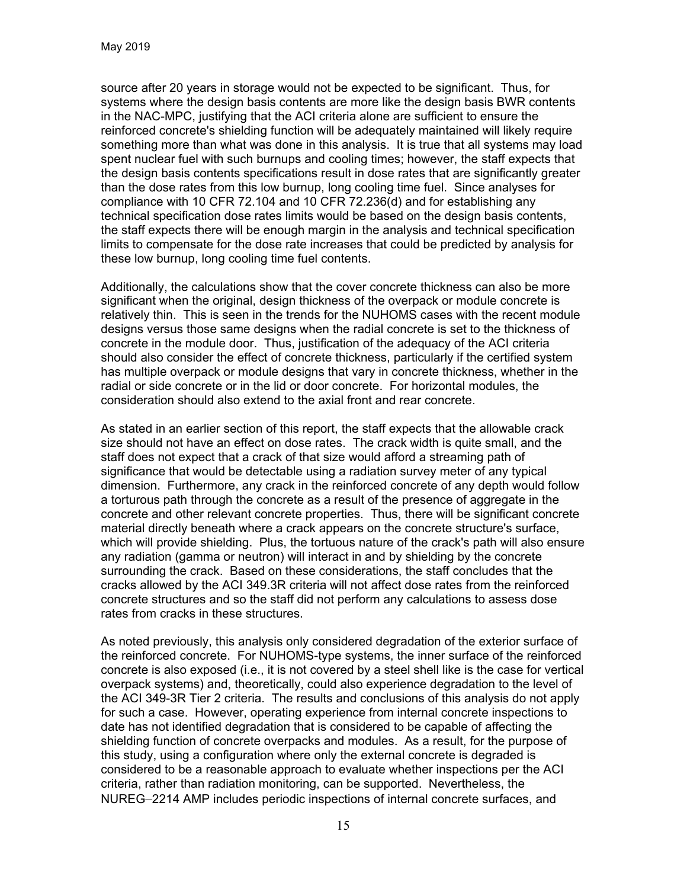source after 20 years in storage would not be expected to be significant. Thus, for systems where the design basis contents are more like the design basis BWR contents in the NAC-MPC, justifying that the ACI criteria alone are sufficient to ensure the reinforced concrete's shielding function will be adequately maintained will likely require something more than what was done in this analysis. It is true that all systems may load spent nuclear fuel with such burnups and cooling times; however, the staff expects that the design basis contents specifications result in dose rates that are significantly greater than the dose rates from this low burnup, long cooling time fuel. Since analyses for compliance with 10 CFR 72.104 and 10 CFR 72.236(d) and for establishing any technical specification dose rates limits would be based on the design basis contents, the staff expects there will be enough margin in the analysis and technical specification limits to compensate for the dose rate increases that could be predicted by analysis for these low burnup, long cooling time fuel contents.

Additionally, the calculations show that the cover concrete thickness can also be more significant when the original, design thickness of the overpack or module concrete is relatively thin. This is seen in the trends for the NUHOMS cases with the recent module designs versus those same designs when the radial concrete is set to the thickness of concrete in the module door. Thus, justification of the adequacy of the ACI criteria should also consider the effect of concrete thickness, particularly if the certified system has multiple overpack or module designs that vary in concrete thickness, whether in the radial or side concrete or in the lid or door concrete. For horizontal modules, the consideration should also extend to the axial front and rear concrete.

As stated in an earlier section of this report, the staff expects that the allowable crack size should not have an effect on dose rates. The crack width is quite small, and the staff does not expect that a crack of that size would afford a streaming path of significance that would be detectable using a radiation survey meter of any typical dimension. Furthermore, any crack in the reinforced concrete of any depth would follow a torturous path through the concrete as a result of the presence of aggregate in the concrete and other relevant concrete properties. Thus, there will be significant concrete material directly beneath where a crack appears on the concrete structure's surface, which will provide shielding. Plus, the tortuous nature of the crack's path will also ensure any radiation (gamma or neutron) will interact in and by shielding by the concrete surrounding the crack. Based on these considerations, the staff concludes that the cracks allowed by the ACI 349.3R criteria will not affect dose rates from the reinforced concrete structures and so the staff did not perform any calculations to assess dose rates from cracks in these structures.

As noted previously, this analysis only considered degradation of the exterior surface of the reinforced concrete. For NUHOMS-type systems, the inner surface of the reinforced concrete is also exposed (i.e., it is not covered by a steel shell like is the case for vertical overpack systems) and, theoretically, could also experience degradation to the level of the ACI 349-3R Tier 2 criteria. The results and conclusions of this analysis do not apply for such a case. However, operating experience from internal concrete inspections to date has not identified degradation that is considered to be capable of affecting the shielding function of concrete overpacks and modules. As a result, for the purpose of this study, using a configuration where only the external concrete is degraded is considered to be a reasonable approach to evaluate whether inspections per the ACI criteria, rather than radiation monitoring, can be supported. Nevertheless, the NUREG–2214 AMP includes periodic inspections of internal concrete surfaces, and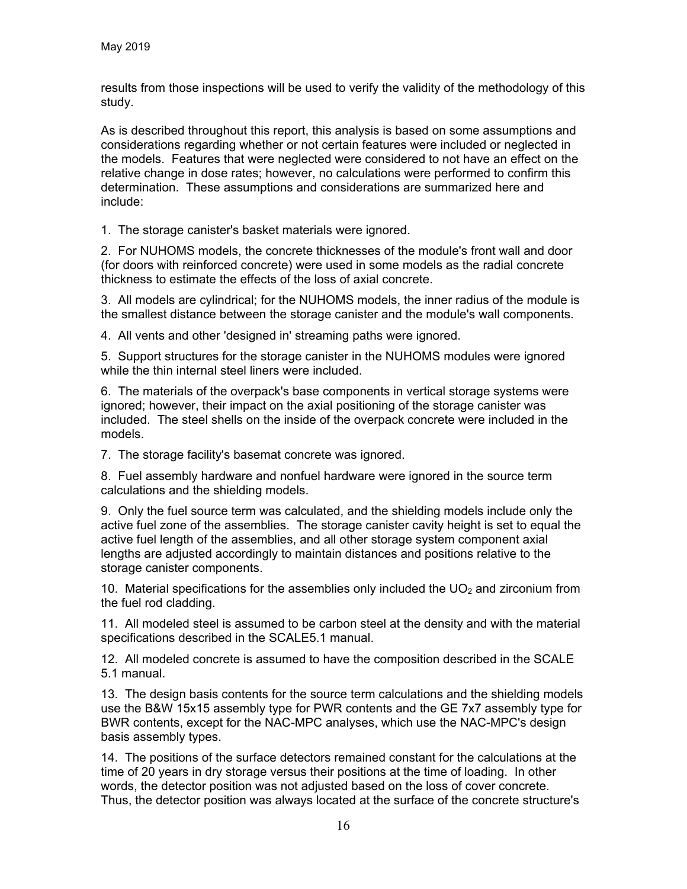results from those inspections will be used to verify the validity of the methodology of this study.

As is described throughout this report, this analysis is based on some assumptions and considerations regarding whether or not certain features were included or neglected in the models. Features that were neglected were considered to not have an effect on the relative change in dose rates; however, no calculations were performed to confirm this determination. These assumptions and considerations are summarized here and include:

1. The storage canister's basket materials were ignored.

2. For NUHOMS models, the concrete thicknesses of the module's front wall and door (for doors with reinforced concrete) were used in some models as the radial concrete thickness to estimate the effects of the loss of axial concrete.

3. All models are cylindrical; for the NUHOMS models, the inner radius of the module is the smallest distance between the storage canister and the module's wall components.

4. All vents and other 'designed in' streaming paths were ignored.

5. Support structures for the storage canister in the NUHOMS modules were ignored while the thin internal steel liners were included.

6. The materials of the overpack's base components in vertical storage systems were ignored; however, their impact on the axial positioning of the storage canister was included. The steel shells on the inside of the overpack concrete were included in the models.

7. The storage facility's basemat concrete was ignored.

8. Fuel assembly hardware and nonfuel hardware were ignored in the source term calculations and the shielding models.

9. Only the fuel source term was calculated, and the shielding models include only the active fuel zone of the assemblies. The storage canister cavity height is set to equal the active fuel length of the assemblies, and all other storage system component axial lengths are adjusted accordingly to maintain distances and positions relative to the storage canister components.

10. Material specifications for the assemblies only included the  $UO<sub>2</sub>$  and zirconium from the fuel rod cladding.

11. All modeled steel is assumed to be carbon steel at the density and with the material specifications described in the SCALE5.1 manual.

12. All modeled concrete is assumed to have the composition described in the SCALE 5.1 manual.

13. The design basis contents for the source term calculations and the shielding models use the B&W 15x15 assembly type for PWR contents and the GE 7x7 assembly type for BWR contents, except for the NAC-MPC analyses, which use the NAC-MPC's design basis assembly types.

14. The positions of the surface detectors remained constant for the calculations at the time of 20 years in dry storage versus their positions at the time of loading. In other words, the detector position was not adjusted based on the loss of cover concrete. Thus, the detector position was always located at the surface of the concrete structure's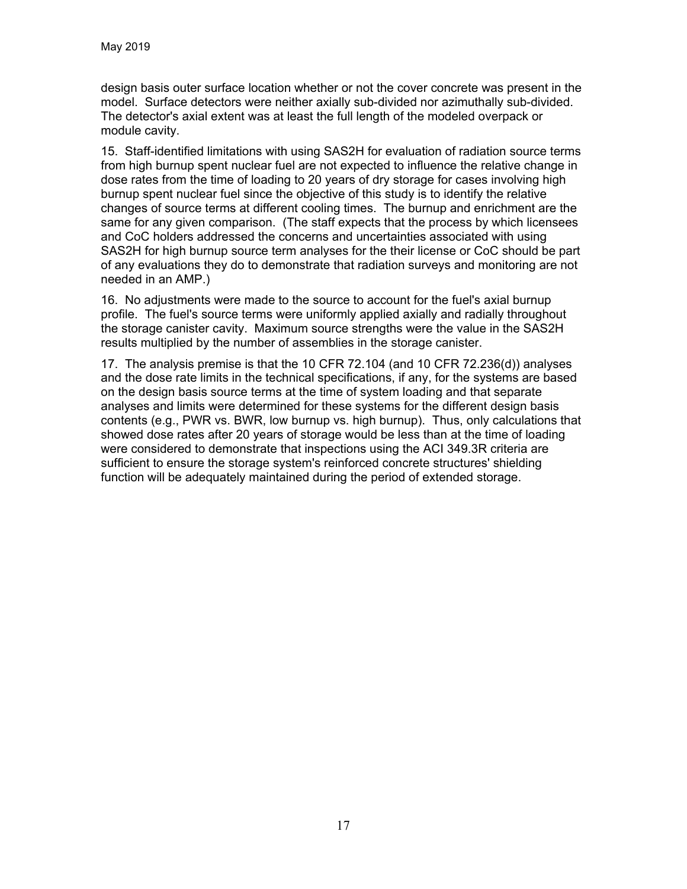design basis outer surface location whether or not the cover concrete was present in the model. Surface detectors were neither axially sub-divided nor azimuthally sub-divided. The detector's axial extent was at least the full length of the modeled overpack or module cavity.

15. Staff-identified limitations with using SAS2H for evaluation of radiation source terms from high burnup spent nuclear fuel are not expected to influence the relative change in dose rates from the time of loading to 20 years of dry storage for cases involving high burnup spent nuclear fuel since the objective of this study is to identify the relative changes of source terms at different cooling times. The burnup and enrichment are the same for any given comparison. (The staff expects that the process by which licensees and CoC holders addressed the concerns and uncertainties associated with using SAS2H for high burnup source term analyses for the their license or CoC should be part of any evaluations they do to demonstrate that radiation surveys and monitoring are not needed in an AMP.)

16. No adjustments were made to the source to account for the fuel's axial burnup profile. The fuel's source terms were uniformly applied axially and radially throughout the storage canister cavity. Maximum source strengths were the value in the SAS2H results multiplied by the number of assemblies in the storage canister.

17. The analysis premise is that the 10 CFR 72.104 (and 10 CFR 72.236(d)) analyses and the dose rate limits in the technical specifications, if any, for the systems are based on the design basis source terms at the time of system loading and that separate analyses and limits were determined for these systems for the different design basis contents (e.g., PWR vs. BWR, low burnup vs. high burnup). Thus, only calculations that showed dose rates after 20 years of storage would be less than at the time of loading were considered to demonstrate that inspections using the ACI 349.3R criteria are sufficient to ensure the storage system's reinforced concrete structures' shielding function will be adequately maintained during the period of extended storage.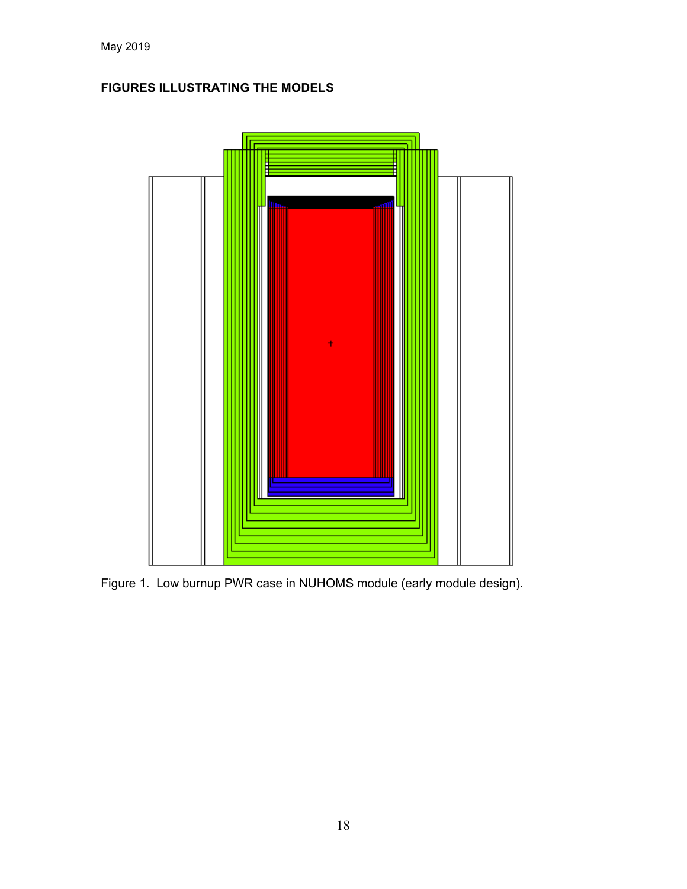# **FIGURES ILLUSTRATING THE MODELS**



Figure 1. Low burnup PWR case in NUHOMS module (early module design).